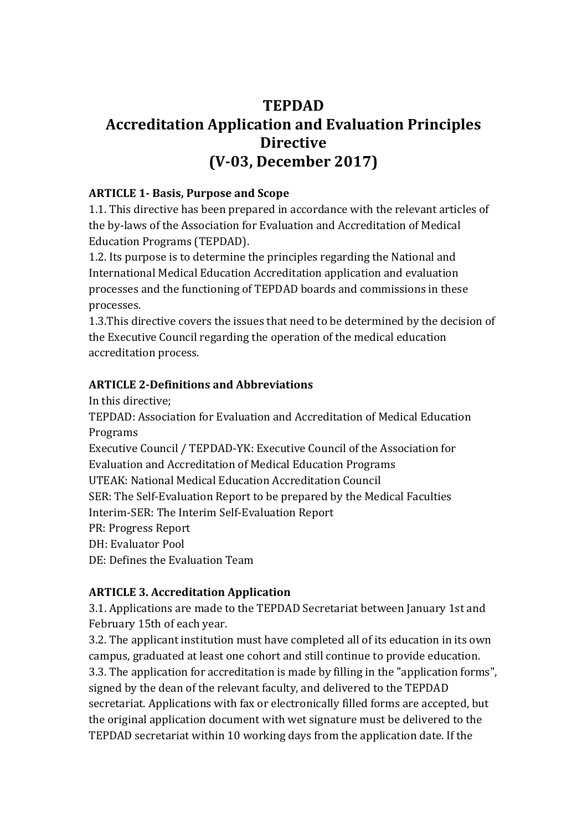# **TEPDAD Accreditation Application and Evaluation Principles Directive (V-03, December 2017)**

## **ARTICLE 1- Basis, Purpose and Scope**

1.1. This directive has been prepared in accordance with the relevant articles of the by-laws of the Association for Evaluation and Accreditation of Medical Education Programs (TEPDAD).

1.2. Its purpose is to determine the principles regarding the National and International Medical Education Accreditation application and evaluation processes and the functioning of TEPDAD boards and commissions in these processes.

1.3.This directive covers the issues that need to be determined by the decision of the Executive Council regarding the operation of the medical education accreditation process.

## **ARTICLE 2-Definitions and Abbreviations**

In this directive; TEPDAD: Association for Evaluation and Accreditation of Medical Education Programs Executive Council / TEPDAD-YK: Executive Council of the Association for Evaluation and Accreditation of Medical Education Programs UTEAK: National Medical Education Accreditation Council SER: The Self-Evaluation Report to be prepared by the Medical Faculties Interim-SER: The Interim Self-Evaluation Report PR: Progress Report DH: Evaluator Pool DE: Defines the Evaluation Team

# **ARTICLE 3. Accreditation Application**

3.1. Applications are made to the TEPDAD Secretariat between January 1st and February 15th of each year.

3.2. The applicant institution must have completed all of its education in its own campus, graduated at least one cohort and still continue to provide education. 3.3. The application for accreditation is made by filling in the "application forms", signed by the dean of the relevant faculty, and delivered to the TEPDAD secretariat. Applications with fax or electronically filled forms are accepted, but the original application document with wet signature must be delivered to the TEPDAD secretariat within 10 working days from the application date. If the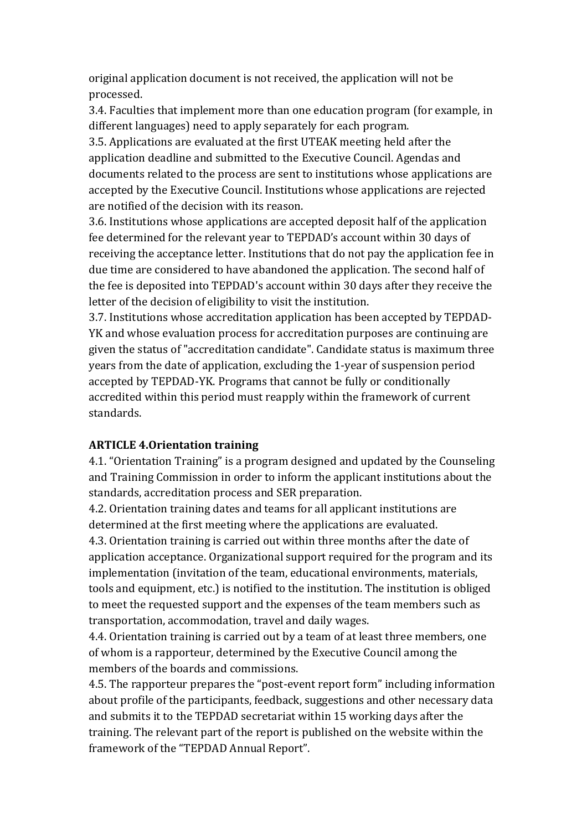original application document is not received, the application will not be processed.

3.4. Faculties that implement more than one education program (for example, in different languages) need to apply separately for each program.

3.5. Applications are evaluated at the first UTEAK meeting held after the application deadline and submitted to the Executive Council. Agendas and documents related to the process are sent to institutions whose applications are accepted by the Executive Council. Institutions whose applications are rejected are notified of the decision with its reason.

3.6. Institutions whose applications are accepted deposit half of the application fee determined for the relevant year to TEPDAD's account within 30 days of receiving the acceptance letter. Institutions that do not pay the application fee in due time are considered to have abandoned the application. The second half of the fee is deposited into TEPDAD's account within 30 days after they receive the letter of the decision of eligibility to visit the institution.

3.7. Institutions whose accreditation application has been accepted by TEPDAD-YK and whose evaluation process for accreditation purposes are continuing are given the status of "accreditation candidate". Candidate status is maximum three years from the date of application, excluding the 1-year of suspension period accepted by TEPDAD-YK. Programs that cannot be fully or conditionally accredited within this period must reapply within the framework of current standards.

#### **ARTICLE 4.Orientation training**

4.1. "Orientation Training" is a program designed and updated by the Counseling and Training Commission in order to inform the applicant institutions about the standards, accreditation process and SER preparation.

4.2. Orientation training dates and teams for all applicant institutions are determined at the first meeting where the applications are evaluated.

4.3. Orientation training is carried out within three months after the date of application acceptance. Organizational support required for the program and its implementation (invitation of the team, educational environments, materials, tools and equipment, etc.) is notified to the institution. The institution is obliged to meet the requested support and the expenses of the team members such as transportation, accommodation, travel and daily wages.

4.4. Orientation training is carried out by a team of at least three members, one of whom is a rapporteur, determined by the Executive Council among the members of the boards and commissions.

4.5. The rapporteur prepares the "post-event report form" including information about profile of the participants, feedback, suggestions and other necessary data and submits it to the TEPDAD secretariat within 15 working days after the training. The relevant part of the report is published on the website within the framework of the "TEPDAD Annual Report".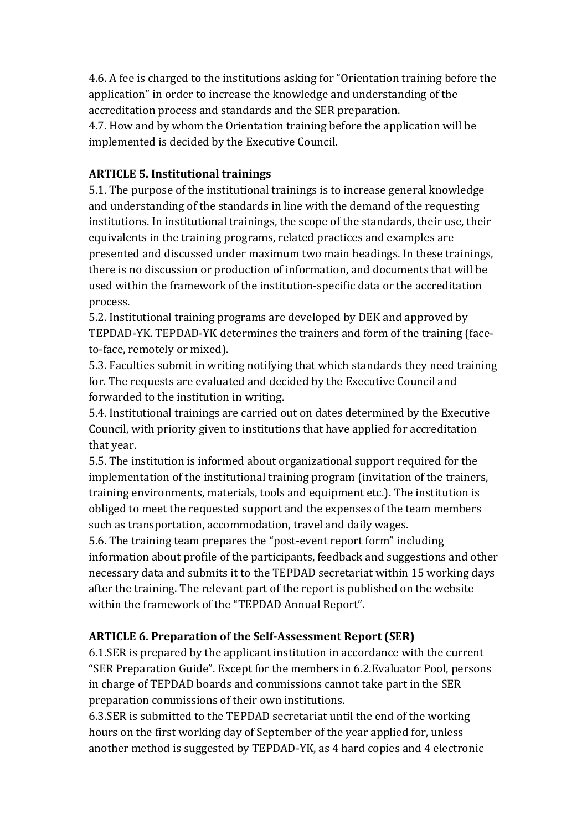4.6. A fee is charged to the institutions asking for "Orientation training before the application" in order to increase the knowledge and understanding of the accreditation process and standards and the SER preparation.

4.7. How and by whom the Orientation training before the application will be implemented is decided by the Executive Council.

# **ARTICLE 5. Institutional trainings**

5.1. The purpose of the institutional trainings is to increase general knowledge and understanding of the standards in line with the demand of the requesting institutions. In institutional trainings, the scope of the standards, their use, their equivalents in the training programs, related practices and examples are presented and discussed under maximum two main headings. In these trainings, there is no discussion or production of information, and documents that will be used within the framework of the institution-specific data or the accreditation process.

5.2. Institutional training programs are developed by DEK and approved by TEPDAD-YK. TEPDAD-YK determines the trainers and form of the training (faceto-face, remotely or mixed).

5.3. Faculties submit in writing notifying that which standards they need training for. The requests are evaluated and decided by the Executive Council and forwarded to the institution in writing.

5.4. Institutional trainings are carried out on dates determined by the Executive Council, with priority given to institutions that have applied for accreditation that year.

5.5. The institution is informed about organizational support required for the implementation of the institutional training program (invitation of the trainers, training environments, materials, tools and equipment etc.). The institution is obliged to meet the requested support and the expenses of the team members such as transportation, accommodation, travel and daily wages.

5.6. The training team prepares the "post-event report form" including information about profile of the participants, feedback and suggestions and other necessary data and submits it to the TEPDAD secretariat within 15 working days after the training. The relevant part of the report is published on the website within the framework of the "TEPDAD Annual Report".

# **ARTICLE 6. Preparation of the Self-Assessment Report (SER)**

6.1.SER is prepared by the applicant institution in accordance with the current "SER Preparation Guide". Except for the members in 6.2.Evaluator Pool, persons in charge of TEPDAD boards and commissions cannot take part in the SER preparation commissions of their own institutions.

6.3.SER is submitted to the TEPDAD secretariat until the end of the working hours on the first working day of September of the year applied for, unless another method is suggested by TEPDAD-YK, as 4 hard copies and 4 electronic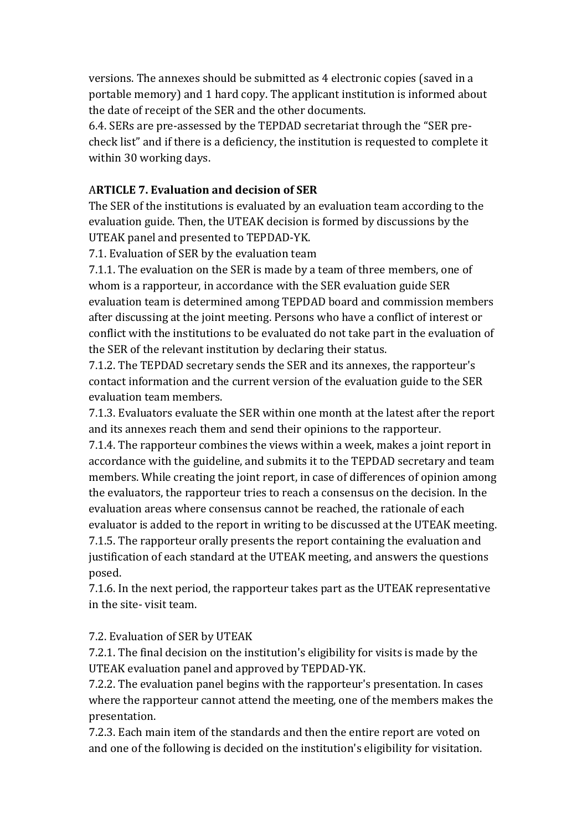versions. The annexes should be submitted as 4 electronic copies (saved in a portable memory) and 1 hard copy. The applicant institution is informed about the date of receipt of the SER and the other documents.

6.4. SERs are pre-assessed by the TEPDAD secretariat through the "SER precheck list" and if there is a deficiency, the institution is requested to complete it within 30 working days.

#### A**RTICLE 7. Evaluation and decision of SER**

The SER of the institutions is evaluated by an evaluation team according to the evaluation guide. Then, the UTEAK decision is formed by discussions by the UTEAK panel and presented to TEPDAD-YK.

7.1. Evaluation of SER by the evaluation team

7.1.1. The evaluation on the SER is made by a team of three members, one of whom is a rapporteur, in accordance with the SER evaluation guide SER evaluation team is determined among TEPDAD board and commission members after discussing at the joint meeting. Persons who have a conflict of interest or conflict with the institutions to be evaluated do not take part in the evaluation of the SER of the relevant institution by declaring their status.

7.1.2. The TEPDAD secretary sends the SER and its annexes, the rapporteur's contact information and the current version of the evaluation guide to the SER evaluation team members.

7.1.3. Evaluators evaluate the SER within one month at the latest after the report and its annexes reach them and send their opinions to the rapporteur.

7.1.4. The rapporteur combines the views within a week, makes a joint report in accordance with the guideline, and submits it to the TEPDAD secretary and team members. While creating the joint report, in case of differences of opinion among the evaluators, the rapporteur tries to reach a consensus on the decision. In the evaluation areas where consensus cannot be reached, the rationale of each evaluator is added to the report in writing to be discussed at the UTEAK meeting. 7.1.5. The rapporteur orally presents the report containing the evaluation and justification of each standard at the UTEAK meeting, and answers the questions posed.

7.1.6. In the next period, the rapporteur takes part as the UTEAK representative in the site- visit team.

7.2. Evaluation of SER by UTEAK

7.2.1. The final decision on the institution's eligibility for visits is made by the UTEAK evaluation panel and approved by TEPDAD-YK.

7.2.2. The evaluation panel begins with the rapporteur's presentation. In cases where the rapporteur cannot attend the meeting, one of the members makes the presentation.

7.2.3. Each main item of the standards and then the entire report are voted on and one of the following is decided on the institution's eligibility for visitation.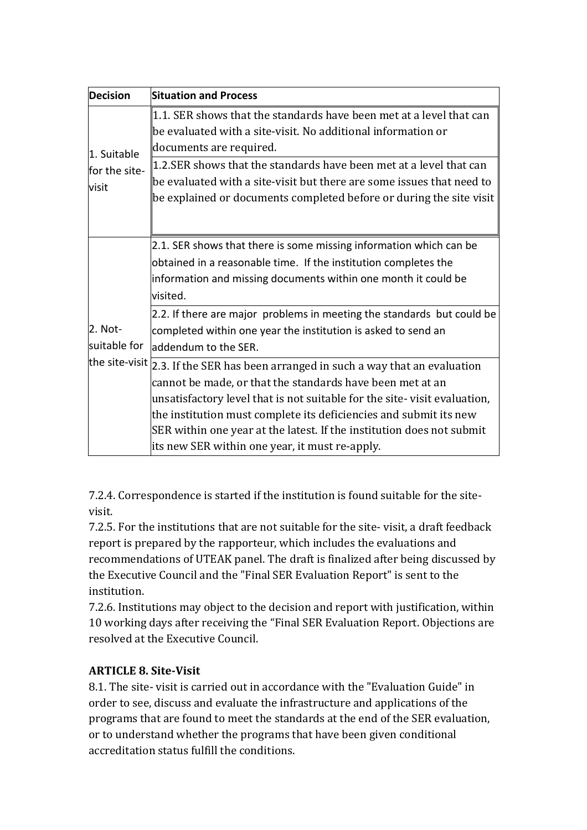| <b>Decision</b>                       | <b>Situation and Process</b>                                                                                                                                                                                                                                                                                                                                                                                                         |
|---------------------------------------|--------------------------------------------------------------------------------------------------------------------------------------------------------------------------------------------------------------------------------------------------------------------------------------------------------------------------------------------------------------------------------------------------------------------------------------|
| 1. Suitable<br>for the site-<br>visit | 1.1. SER shows that the standards have been met at a level that can<br>be evaluated with a site-visit. No additional information or<br>documents are required.<br>1.2.SER shows that the standards have been met at a level that can<br>be evaluated with a site-visit but there are some issues that need to<br>be explained or documents completed before or during the site visit                                                 |
| 2. Not-<br>suitable for               | 2.1. SER shows that there is some missing information which can be<br>obtained in a reasonable time. If the institution completes the<br>information and missing documents within one month it could be<br>visited.<br>2.2. If there are major problems in meeting the standards but could be<br>completed within one year the institution is asked to send an<br>laddendum to the SER.                                              |
|                                       | the site-visit $\sqrt{2.3}$ . If the SER has been arranged in such a way that an evaluation<br>cannot be made, or that the standards have been met at an<br>unsatisfactory level that is not suitable for the site-visit evaluation,<br>the institution must complete its deficiencies and submit its new<br>SER within one year at the latest. If the institution does not submit<br>its new SER within one year, it must re-apply. |

7.2.4. Correspondence is started if the institution is found suitable for the sitevisit.

7.2.5. For the institutions that are not suitable for the site- visit, a draft feedback report is prepared by the rapporteur, which includes the evaluations and recommendations of UTEAK panel. The draft is finalized after being discussed by the Executive Council and the "Final SER Evaluation Report" is sent to the institution.

7.2.6. Institutions may object to the decision and report with justification, within 10 working days after receiving the "Final SER Evaluation Report. Objections are resolved at the Executive Council.

#### **ARTICLE 8. Site-Visit**

8.1. The site- visit is carried out in accordance with the "Evaluation Guide" in order to see, discuss and evaluate the infrastructure and applications of the programs that are found to meet the standards at the end of the SER evaluation, or to understand whether the programs that have been given conditional accreditation status fulfill the conditions.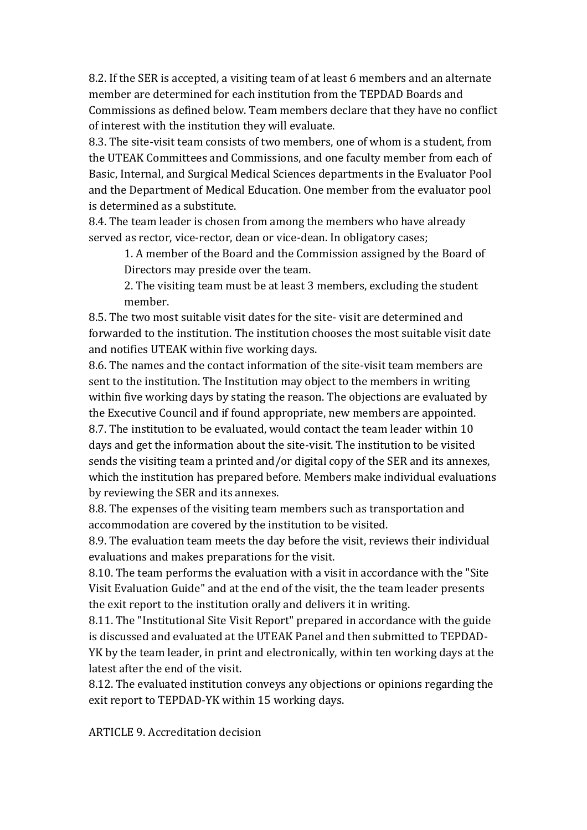8.2. If the SER is accepted, a visiting team of at least 6 members and an alternate member are determined for each institution from the TEPDAD Boards and Commissions as defined below. Team members declare that they have no conflict of interest with the institution they will evaluate.

8.3. The site-visit team consists of two members, one of whom is a student, from the UTEAK Committees and Commissions, and one faculty member from each of Basic, Internal, and Surgical Medical Sciences departments in the Evaluator Pool and the Department of Medical Education. One member from the evaluator pool is determined as a substitute.

8.4. The team leader is chosen from among the members who have already served as rector, vice-rector, dean or vice-dean. In obligatory cases;

1. A member of the Board and the Commission assigned by the Board of Directors may preside over the team.

2. The visiting team must be at least 3 members, excluding the student member.

8.5. The two most suitable visit dates for the site- visit are determined and forwarded to the institution. The institution chooses the most suitable visit date and notifies UTEAK within five working days.

8.6. The names and the contact information of the site-visit team members are sent to the institution. The Institution may object to the members in writing within five working days by stating the reason. The objections are evaluated by the Executive Council and if found appropriate, new members are appointed. 8.7. The institution to be evaluated, would contact the team leader within 10 days and get the information about the site-visit. The institution to be visited sends the visiting team a printed and/or digital copy of the SER and its annexes, which the institution has prepared before. Members make individual evaluations by reviewing the SER and its annexes.

8.8. The expenses of the visiting team members such as transportation and accommodation are covered by the institution to be visited.

8.9. The evaluation team meets the day before the visit, reviews their individual evaluations and makes preparations for the visit.

8.10. The team performs the evaluation with a visit in accordance with the "Site Visit Evaluation Guide" and at the end of the visit, the the team leader presents the exit report to the institution orally and delivers it in writing.

8.11. The "Institutional Site Visit Report" prepared in accordance with the guide is discussed and evaluated at the UTEAK Panel and then submitted to TEPDAD-YK by the team leader, in print and electronically, within ten working days at the latest after the end of the visit.

8.12. The evaluated institution conveys any objections or opinions regarding the exit report to TEPDAD-YK within 15 working days.

ARTICLE 9. Accreditation decision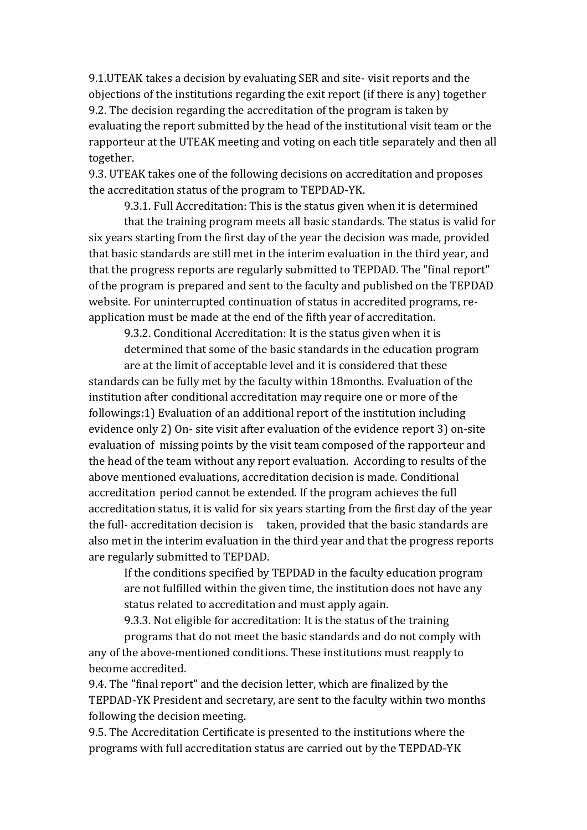9.1.UTEAK takes a decision by evaluating SER and site- visit reports and the objections of the institutions regarding the exit report (if there is any) together 9.2. The decision regarding the accreditation of the program is taken by evaluating the report submitted by the head of the institutional visit team or the rapporteur at the UTEAK meeting and voting on each title separately and then all together.

9.3. UTEAK takes one of the following decisions on accreditation and proposes the accreditation status of the program to TEPDAD-YK.

9.3.1. Full Accreditation: This is the status given when it is determined

that the training program meets all basic standards. The status is valid for six years starting from the first day of the year the decision was made, provided that basic standards are still met in the interim evaluation in the third year, and that the progress reports are regularly submitted to TEPDAD. The "final report" of the program is prepared and sent to the faculty and published on the TEPDAD website. For uninterrupted continuation of status in accredited programs, reapplication must be made at the end of the fifth year of accreditation.

9.3.2. Conditional Accreditation: It is the status given when it is determined that some of the basic standards in the education program

are at the limit of acceptable level and it is considered that these standards can be fully met by the faculty within 18months. Evaluation of the institution after conditional accreditation may require one or more of the followings:1) Evaluation of an additional report of the institution including evidence only 2) On- site visit after evaluation of the evidence report 3) on-site evaluation of missing points by the visit team composed of the rapporteur and the head of the team without any report evaluation. According to results of the above mentioned evaluations, accreditation decision is made. Conditional accreditation period cannot be extended. If the program achieves the full accreditation status, it is valid for six years starting from the first day of the year the full- accreditation decision is taken, provided that the basic standards are also met in the interim evaluation in the third year and that the progress reports are regularly submitted to TEPDAD.

If the conditions specified by TEPDAD in the faculty education program are not fulfilled within the given time, the institution does not have any status related to accreditation and must apply again.

9.3.3. Not eligible for accreditation: It is the status of the training

programs that do not meet the basic standards and do not comply with any of the above-mentioned conditions. These institutions must reapply to become accredited.

9.4. The "final report" and the decision letter, which are finalized by the TEPDAD-YK President and secretary, are sent to the faculty within two months following the decision meeting.

9.5. The Accreditation Certificate is presented to the institutions where the programs with full accreditation status are carried out by the TEPDAD-YK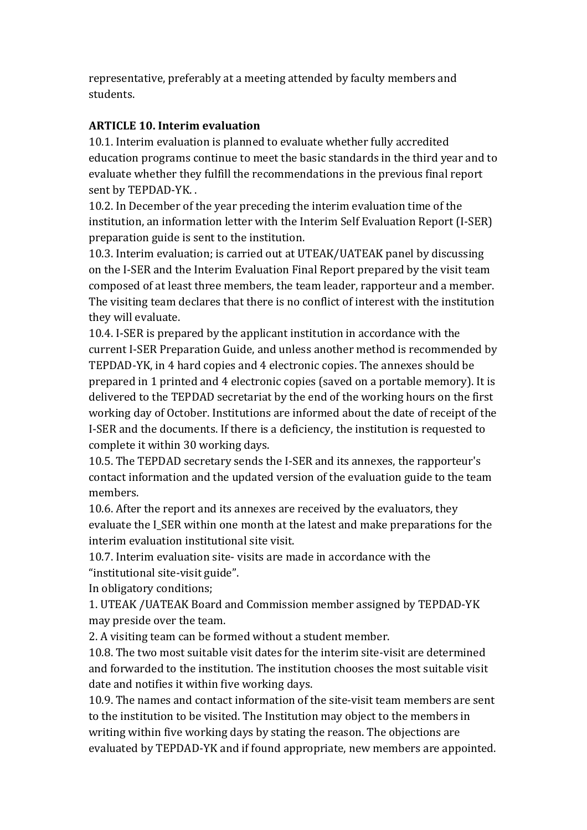representative, preferably at a meeting attended by faculty members and students.

## **ARTICLE 10. Interim evaluation**

10.1. Interim evaluation is planned to evaluate whether fully accredited education programs continue to meet the basic standards in the third year and to evaluate whether they fulfill the recommendations in the previous final report sent by TEPDAD-YK. .

10.2. In December of the year preceding the interim evaluation time of the institution, an information letter with the Interim Self Evaluation Report (I-SER) preparation guide is sent to the institution.

10.3. Interim evaluation; is carried out at UTEAK/UATEAK panel by discussing on the I-SER and the Interim Evaluation Final Report prepared by the visit team composed of at least three members, the team leader, rapporteur and a member. The visiting team declares that there is no conflict of interest with the institution they will evaluate.

10.4. I-SER is prepared by the applicant institution in accordance with the current I-SER Preparation Guide, and unless another method is recommended by TEPDAD-YK, in 4 hard copies and 4 electronic copies. The annexes should be prepared in 1 printed and 4 electronic copies (saved on a portable memory). It is delivered to the TEPDAD secretariat by the end of the working hours on the first working day of October. Institutions are informed about the date of receipt of the I-SER and the documents. If there is a deficiency, the institution is requested to complete it within 30 working days.

10.5. The TEPDAD secretary sends the I-SER and its annexes, the rapporteur's contact information and the updated version of the evaluation guide to the team members.

10.6. After the report and its annexes are received by the evaluators, they evaluate the I\_SER within one month at the latest and make preparations for the interim evaluation institutional site visit.

10.7. Interim evaluation site- visits are made in accordance with the "institutional site-visit guide".

In obligatory conditions;

1. UTEAK /UATEAK Board and Commission member assigned by TEPDAD-YK may preside over the team.

2. A visiting team can be formed without a student member.

10.8. The two most suitable visit dates for the interim site-visit are determined and forwarded to the institution. The institution chooses the most suitable visit date and notifies it within five working days.

10.9. The names and contact information of the site-visit team members are sent to the institution to be visited. The Institution may object to the members in writing within five working days by stating the reason. The objections are evaluated by TEPDAD-YK and if found appropriate, new members are appointed.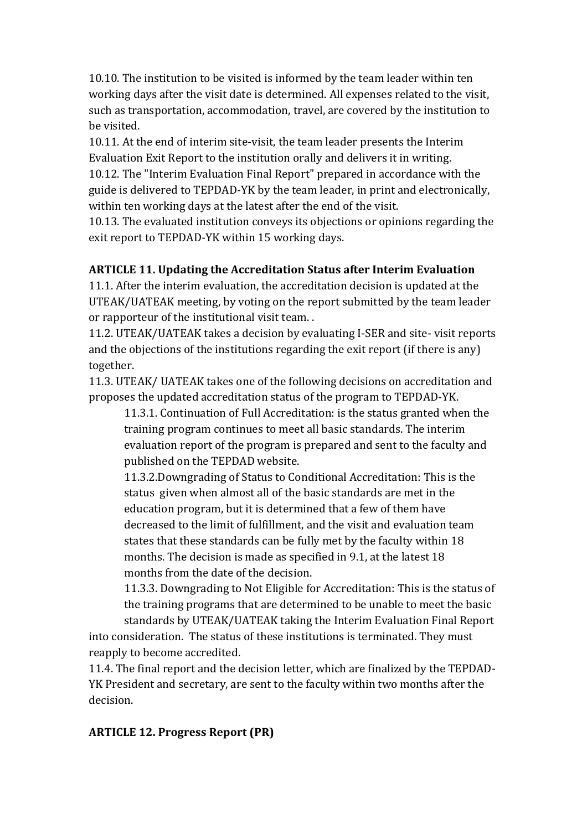10.10. The institution to be visited is informed by the team leader within ten working days after the visit date is determined. All expenses related to the visit, such as transportation, accommodation, travel, are covered by the institution to be visited.

10.11. At the end of interim site-visit, the team leader presents the Interim Evaluation Exit Report to the institution orally and delivers it in writing.

10.12. The "Interim Evaluation Final Report" prepared in accordance with the guide is delivered to TEPDAD-YK by the team leader, in print and electronically, within ten working days at the latest after the end of the visit.

10.13. The evaluated institution conveys its objections or opinions regarding the exit report to TEPDAD-YK within 15 working days.

## **ARTICLE 11. Updating the Accreditation Status after Interim Evaluation**

11.1. After the interim evaluation, the accreditation decision is updated at the UTEAK/UATEAK meeting, by voting on the report submitted by the team leader or rapporteur of the institutional visit team. .

11.2. UTEAK/UATEAK takes a decision by evaluating I-SER and site- visit reports and the objections of the institutions regarding the exit report (if there is any) together.

11.3. UTEAK/ UATEAK takes one of the following decisions on accreditation and proposes the updated accreditation status of the program to TEPDAD-YK.

11.3.1. Continuation of Full Accreditation: is the status granted when the training program continues to meet all basic standards. The interim evaluation report of the program is prepared and sent to the faculty and published on the TEPDAD website.

11.3.2.Downgrading of Status to Conditional Accreditation: This is the status given when almost all of the basic standards are met in the education program, but it is determined that a few of them have decreased to the limit of fulfillment, and the visit and evaluation team states that these standards can be fully met by the faculty within 18 months. The decision is made as specified in 9.1, at the latest 18 months from the date of the decision.

11.3.3. Downgrading to Not Eligible for Accreditation: This is the status of the training programs that are determined to be unable to meet the basic standards by UTEAK/UATEAK taking the Interim Evaluation Final Report

into consideration. The status of these institutions is terminated. They must reapply to become accredited.

11.4. The final report and the decision letter, which are finalized by the TEPDAD-YK President and secretary, are sent to the faculty within two months after the decision.

#### **ARTICLE 12. Progress Report (PR)**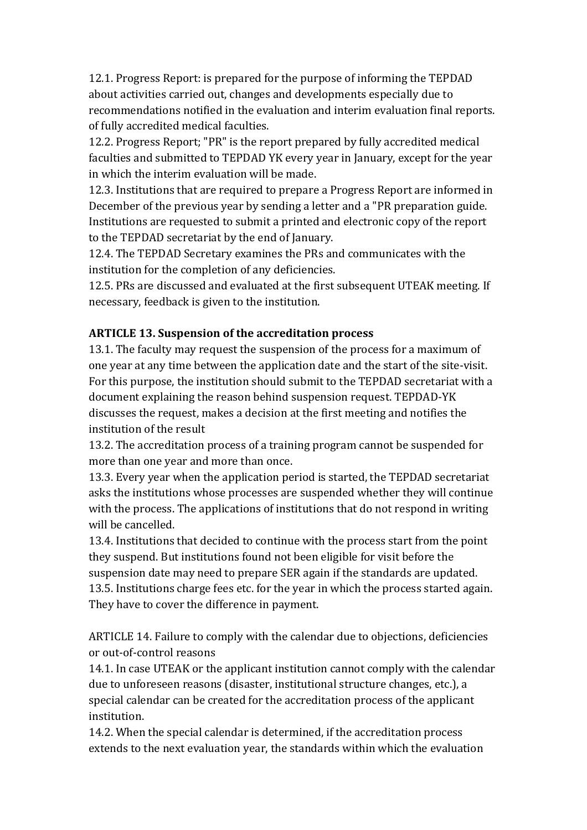12.1. Progress Report: is prepared for the purpose of informing the TEPDAD about activities carried out, changes and developments especially due to recommendations notified in the evaluation and interim evaluation final reports. of fully accredited medical faculties.

12.2. Progress Report; "PR" is the report prepared by fully accredited medical faculties and submitted to TEPDAD YK every year in January, except for the year in which the interim evaluation will be made.

12.3. Institutions that are required to prepare a Progress Report are informed in December of the previous year by sending a letter and a "PR preparation guide. Institutions are requested to submit a printed and electronic copy of the report to the TEPDAD secretariat by the end of January.

12.4. The TEPDAD Secretary examines the PRs and communicates with the institution for the completion of any deficiencies.

12.5. PRs are discussed and evaluated at the first subsequent UTEAK meeting. If necessary, feedback is given to the institution.

# **ARTICLE 13. Suspension of the accreditation process**

13.1. The faculty may request the suspension of the process for a maximum of one year at any time between the application date and the start of the site-visit. For this purpose, the institution should submit to the TEPDAD secretariat with a document explaining the reason behind suspension request. TEPDAD-YK discusses the request, makes a decision at the first meeting and notifies the institution of the result

13.2. The accreditation process of a training program cannot be suspended for more than one year and more than once.

13.3. Every year when the application period is started, the TEPDAD secretariat asks the institutions whose processes are suspended whether they will continue with the process. The applications of institutions that do not respond in writing will be cancelled.

13.4. Institutions that decided to continue with the process start from the point they suspend. But institutions found not been eligible for visit before the suspension date may need to prepare SER again if the standards are updated. 13.5. Institutions charge fees etc. for the year in which the process started again. They have to cover the difference in payment.

ARTICLE 14. Failure to comply with the calendar due to objections, deficiencies or out-of-control reasons

14.1. In case UTEAK or the applicant institution cannot comply with the calendar due to unforeseen reasons (disaster, institutional structure changes, etc.), a special calendar can be created for the accreditation process of the applicant institution.

14.2. When the special calendar is determined, if the accreditation process extends to the next evaluation year, the standards within which the evaluation